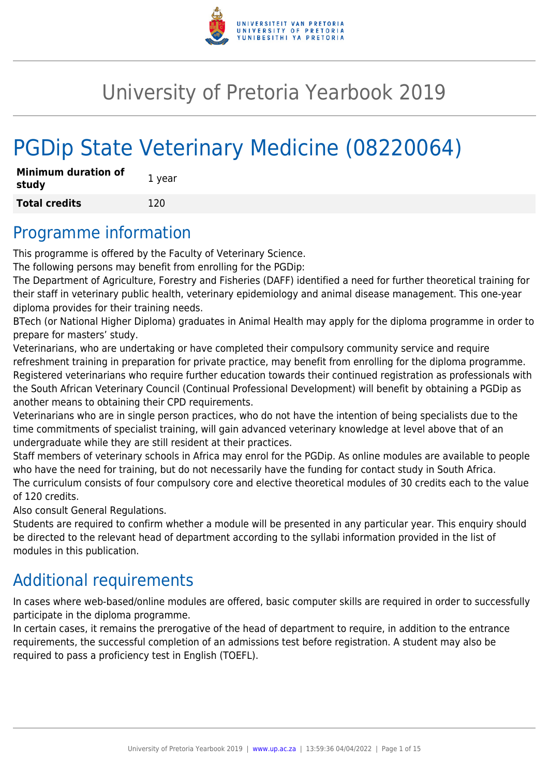

# University of Pretoria Yearbook 2019

# PGDip State Veterinary Medicine (08220064)

| <b>Minimum duration of</b><br>study | 1 year |
|-------------------------------------|--------|
| <b>Total credits</b>                | 120    |

## Programme information

This programme is offered by the Faculty of Veterinary Science.

The following persons may benefit from enrolling for the PGDip:

The Department of Agriculture, Forestry and Fisheries (DAFF) identified a need for further theoretical training for their staff in veterinary public health, veterinary epidemiology and animal disease management. This one-year diploma provides for their training needs.

BTech (or National Higher Diploma) graduates in Animal Health may apply for the diploma programme in order to prepare for masters' study.

Veterinarians, who are undertaking or have completed their compulsory community service and require refreshment training in preparation for private practice, may benefit from enrolling for the diploma programme. Registered veterinarians who require further education towards their continued registration as professionals with the South African Veterinary Council (Continual Professional Development) will benefit by obtaining a PGDip as another means to obtaining their CPD requirements.

Veterinarians who are in single person practices, who do not have the intention of being specialists due to the time commitments of specialist training, will gain advanced veterinary knowledge at level above that of an undergraduate while they are still resident at their practices.

Staff members of veterinary schools in Africa may enrol for the PGDip. As online modules are available to people who have the need for training, but do not necessarily have the funding for contact study in South Africa. The curriculum consists of four compulsory core and elective theoretical modules of 30 credits each to the value of 120 credits.

Also consult General Regulations.

Students are required to confirm whether a module will be presented in any particular year. This enquiry should be directed to the relevant head of department according to the syllabi information provided in the list of modules in this publication.

## Additional requirements

In cases where web-based/online modules are offered, basic computer skills are required in order to successfully participate in the diploma programme.

In certain cases, it remains the prerogative of the head of department to require, in addition to the entrance requirements, the successful completion of an admissions test before registration. A student may also be required to pass a proficiency test in English (TOEFL).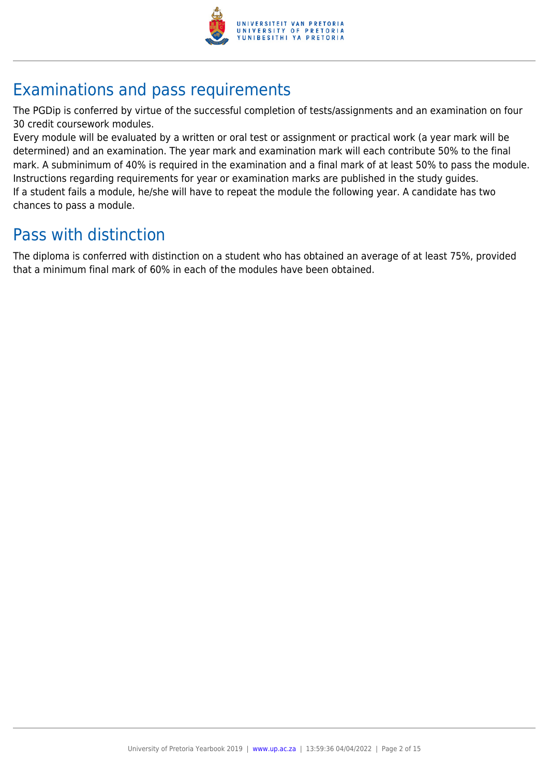

## Examinations and pass requirements

The PGDip is conferred by virtue of the successful completion of tests/assignments and an examination on four 30 credit coursework modules.

Every module will be evaluated by a written or oral test or assignment or practical work (a year mark will be determined) and an examination. The year mark and examination mark will each contribute 50% to the final mark. A subminimum of 40% is required in the examination and a final mark of at least 50% to pass the module. Instructions regarding requirements for year or examination marks are published in the study guides. If a student fails a module, he/she will have to repeat the module the following year. A candidate has two chances to pass a module.

## Pass with distinction

The diploma is conferred with distinction on a student who has obtained an average of at least 75%, provided that a minimum final mark of 60% in each of the modules have been obtained.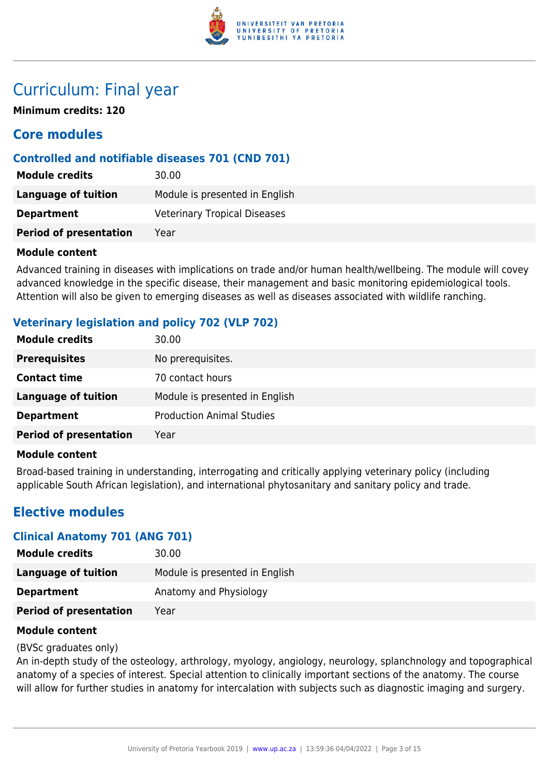

## Curriculum: Final year

**Minimum credits: 120**

## **Core modules**

## **Controlled and notifiable diseases 701 (CND 701)**

| <b>Module credits</b>         | 30.00                               |
|-------------------------------|-------------------------------------|
| Language of tuition           | Module is presented in English      |
| <b>Department</b>             | <b>Veterinary Tropical Diseases</b> |
| <b>Period of presentation</b> | Year                                |

#### **Module content**

Advanced training in diseases with implications on trade and/or human health/wellbeing. The module will covey advanced knowledge in the specific disease, their management and basic monitoring epidemiological tools. Attention will also be given to emerging diseases as well as diseases associated with wildlife ranching.

## **Veterinary legislation and policy 702 (VLP 702)**

| <b>Module credits</b>         | 30.00                            |
|-------------------------------|----------------------------------|
| <b>Prerequisites</b>          | No prerequisites.                |
| <b>Contact time</b>           | 70 contact hours                 |
| Language of tuition           | Module is presented in English   |
| <b>Department</b>             | <b>Production Animal Studies</b> |
| <b>Period of presentation</b> | Year                             |

## **Module content**

Broad-based training in understanding, interrogating and critically applying veterinary policy (including applicable South African legislation), and international phytosanitary and sanitary policy and trade.

## **Elective modules**

## **Clinical Anatomy 701 (ANG 701)**

| <b>Module credits</b>         | 30.00                          |
|-------------------------------|--------------------------------|
| <b>Language of tuition</b>    | Module is presented in English |
| <b>Department</b>             | Anatomy and Physiology         |
| <b>Period of presentation</b> | Year                           |
|                               |                                |

#### **Module content**

#### (BVSc graduates only)

An in-depth study of the osteology, arthrology, myology, angiology, neurology, splanchnology and topographical anatomy of a species of interest. Special attention to clinically important sections of the anatomy. The course will allow for further studies in anatomy for intercalation with subjects such as diagnostic imaging and surgery.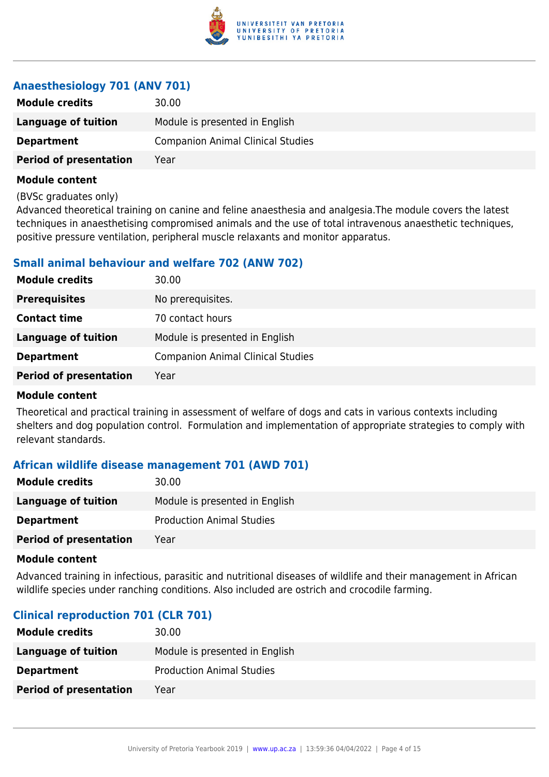

## **Anaesthesiology 701 (ANV 701)**

| <b>Module credits</b>         | 30.00                                    |
|-------------------------------|------------------------------------------|
| Language of tuition           | Module is presented in English           |
| <b>Department</b>             | <b>Companion Animal Clinical Studies</b> |
| <b>Period of presentation</b> | Year                                     |

#### **Module content**

(BVSc graduates only)

Advanced theoretical training on canine and feline anaesthesia and analgesia.The module covers the latest techniques in anaesthetising compromised animals and the use of total intravenous anaesthetic techniques, positive pressure ventilation, peripheral muscle relaxants and monitor apparatus.

## **Small animal behaviour and welfare 702 (ANW 702)**

| <b>Module credits</b>         | 30.00                                    |
|-------------------------------|------------------------------------------|
| <b>Prerequisites</b>          | No prerequisites.                        |
| <b>Contact time</b>           | 70 contact hours                         |
| Language of tuition           | Module is presented in English           |
| <b>Department</b>             | <b>Companion Animal Clinical Studies</b> |
| <b>Period of presentation</b> | Year                                     |

## **Module content**

Theoretical and practical training in assessment of welfare of dogs and cats in various contexts including shelters and dog population control. Formulation and implementation of appropriate strategies to comply with relevant standards.

## **African wildlife disease management 701 (AWD 701)**

| <b>Module credits</b>         | 30.00                            |
|-------------------------------|----------------------------------|
| Language of tuition           | Module is presented in English   |
| <b>Department</b>             | <b>Production Animal Studies</b> |
| <b>Period of presentation</b> | Year                             |

#### **Module content**

Advanced training in infectious, parasitic and nutritional diseases of wildlife and their management in African wildlife species under ranching conditions. Also included are ostrich and crocodile farming.

## **Clinical reproduction 701 (CLR 701)**

| <b>Module credits</b>         | 30.00                            |
|-------------------------------|----------------------------------|
| Language of tuition           | Module is presented in English   |
| <b>Department</b>             | <b>Production Animal Studies</b> |
| <b>Period of presentation</b> | Year                             |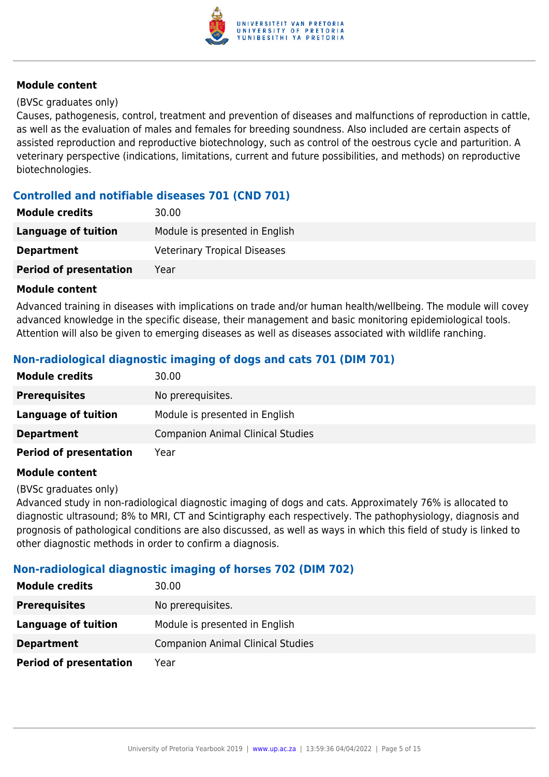

#### (BVSc graduates only)

Causes, pathogenesis, control, treatment and prevention of diseases and malfunctions of reproduction in cattle, as well as the evaluation of males and females for breeding soundness. Also included are certain aspects of assisted reproduction and reproductive biotechnology, such as control of the oestrous cycle and parturition. A veterinary perspective (indications, limitations, current and future possibilities, and methods) on reproductive biotechnologies.

## **Controlled and notifiable diseases 701 (CND 701)**

| <b>Module credits</b>         | 30.00                               |
|-------------------------------|-------------------------------------|
| Language of tuition           | Module is presented in English      |
| <b>Department</b>             | <b>Veterinary Tropical Diseases</b> |
| <b>Period of presentation</b> | Year                                |

#### **Module content**

Advanced training in diseases with implications on trade and/or human health/wellbeing. The module will covey advanced knowledge in the specific disease, their management and basic monitoring epidemiological tools. Attention will also be given to emerging diseases as well as diseases associated with wildlife ranching.

## **Non-radiological diagnostic imaging of dogs and cats 701 (DIM 701)**

| <b>Module credits</b>         | 30.00                                    |
|-------------------------------|------------------------------------------|
| <b>Prerequisites</b>          | No prerequisites.                        |
| Language of tuition           | Module is presented in English           |
| <b>Department</b>             | <b>Companion Animal Clinical Studies</b> |
| <b>Period of presentation</b> | Year                                     |

#### **Module content**

(BVSc graduates only)

Advanced study in non-radiological diagnostic imaging of dogs and cats. Approximately 76% is allocated to diagnostic ultrasound; 8% to MRI, CT and Scintigraphy each respectively. The pathophysiology, diagnosis and prognosis of pathological conditions are also discussed, as well as ways in which this field of study is linked to other diagnostic methods in order to confirm a diagnosis.

## **Non-radiological diagnostic imaging of horses 702 (DIM 702)**

| <b>Module credits</b>         | 30.00                                    |
|-------------------------------|------------------------------------------|
| <b>Prerequisites</b>          | No prerequisites.                        |
| <b>Language of tuition</b>    | Module is presented in English           |
| <b>Department</b>             | <b>Companion Animal Clinical Studies</b> |
| <b>Period of presentation</b> | Year                                     |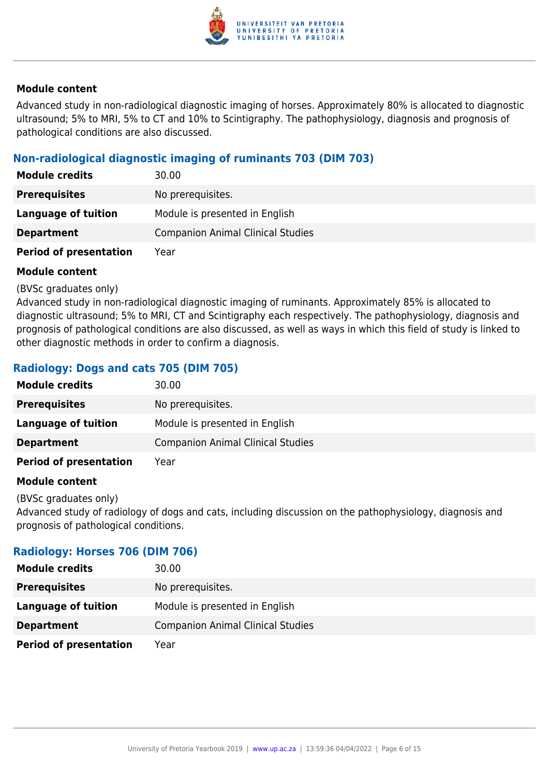

Advanced study in non-radiological diagnostic imaging of horses. Approximately 80% is allocated to diagnostic ultrasound; 5% to MRI, 5% to CT and 10% to Scintigraphy. The pathophysiology, diagnosis and prognosis of pathological conditions are also discussed.

## **Non-radiological diagnostic imaging of ruminants 703 (DIM 703)**

| <b>Module credits</b>         | 30.00                                    |
|-------------------------------|------------------------------------------|
| <b>Prerequisites</b>          | No prerequisites.                        |
| Language of tuition           | Module is presented in English           |
| <b>Department</b>             | <b>Companion Animal Clinical Studies</b> |
| <b>Period of presentation</b> | Year                                     |

#### **Module content**

(BVSc graduates only)

Advanced study in non-radiological diagnostic imaging of ruminants. Approximately 85% is allocated to diagnostic ultrasound; 5% to MRI, CT and Scintigraphy each respectively. The pathophysiology, diagnosis and prognosis of pathological conditions are also discussed, as well as ways in which this field of study is linked to other diagnostic methods in order to confirm a diagnosis.

## **Radiology: Dogs and cats 705 (DIM 705)**

| <b>Module credits</b>         | 30.00                                    |
|-------------------------------|------------------------------------------|
| <b>Prerequisites</b>          | No prerequisites.                        |
| Language of tuition           | Module is presented in English           |
| <b>Department</b>             | <b>Companion Animal Clinical Studies</b> |
| <b>Period of presentation</b> | Year                                     |

#### **Module content**

(BVSc graduates only)

Advanced study of radiology of dogs and cats, including discussion on the pathophysiology, diagnosis and prognosis of pathological conditions.

## **Radiology: Horses 706 (DIM 706)**

| <b>Module credits</b>         | 30.00                                    |
|-------------------------------|------------------------------------------|
| <b>Prerequisites</b>          | No prerequisites.                        |
| Language of tuition           | Module is presented in English           |
| <b>Department</b>             | <b>Companion Animal Clinical Studies</b> |
| <b>Period of presentation</b> | Year                                     |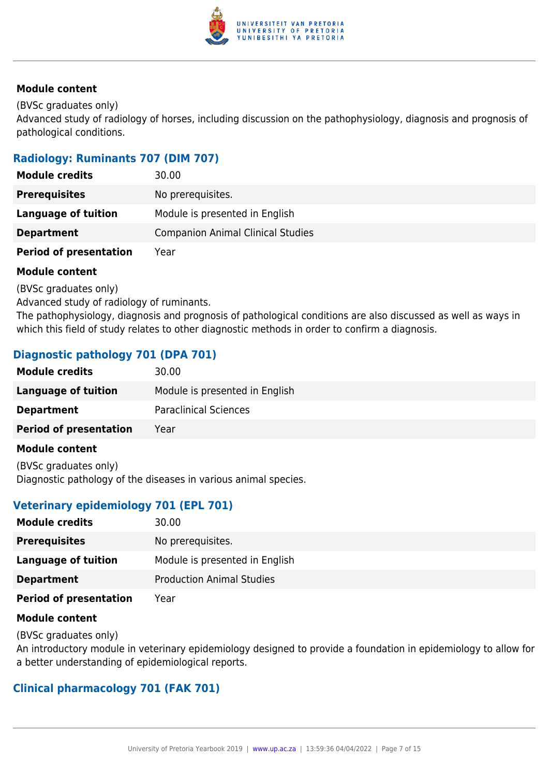

(BVSc graduates only)

Advanced study of radiology of horses, including discussion on the pathophysiology, diagnosis and prognosis of pathological conditions.

## **Radiology: Ruminants 707 (DIM 707)**

| <b>Module credits</b>         | 30.00                                    |
|-------------------------------|------------------------------------------|
| <b>Prerequisites</b>          | No prerequisites.                        |
| Language of tuition           | Module is presented in English           |
| <b>Department</b>             | <b>Companion Animal Clinical Studies</b> |
| <b>Period of presentation</b> | Year                                     |

## **Module content**

(BVSc graduates only)

Advanced study of radiology of ruminants.

The pathophysiology, diagnosis and prognosis of pathological conditions are also discussed as well as ways in which this field of study relates to other diagnostic methods in order to confirm a diagnosis.

## **Diagnostic pathology 701 (DPA 701)**

| <b>Module credits</b>         | 30.00                          |
|-------------------------------|--------------------------------|
| Language of tuition           | Module is presented in English |
| <b>Department</b>             | <b>Paraclinical Sciences</b>   |
| <b>Period of presentation</b> | Year                           |
| Modulo contont                |                                |

#### **Module content**

(BVSc graduates only) Diagnostic pathology of the diseases in various animal species.

## **Veterinary epidemiology 701 (EPL 701)**

| <b>Module credits</b>         | 30.00                            |
|-------------------------------|----------------------------------|
| <b>Prerequisites</b>          | No prerequisites.                |
| Language of tuition           | Module is presented in English   |
| <b>Department</b>             | <b>Production Animal Studies</b> |
| <b>Period of presentation</b> | Year                             |

## **Module content**

(BVSc graduates only)

An introductory module in veterinary epidemiology designed to provide a foundation in epidemiology to allow for a better understanding of epidemiological reports.

## **Clinical pharmacology 701 (FAK 701)**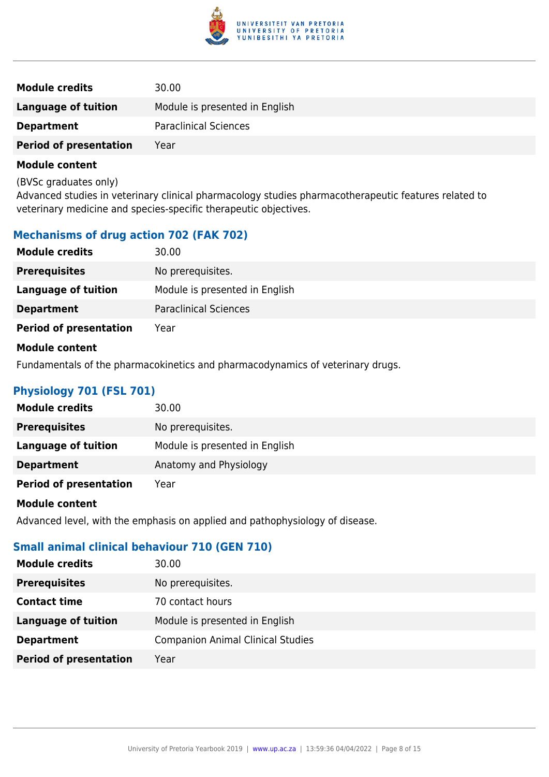

| <b>Module credits</b>         | 30.00                          |
|-------------------------------|--------------------------------|
| Language of tuition           | Module is presented in English |
| <b>Department</b>             | <b>Paraclinical Sciences</b>   |
| <b>Period of presentation</b> | Year                           |

(BVSc graduates only)

Advanced studies in veterinary clinical pharmacology studies pharmacotherapeutic features related to veterinary medicine and species-specific therapeutic objectives.

## **Mechanisms of drug action 702 (FAK 702)**

| <b>Module credits</b>         | 30.00                          |
|-------------------------------|--------------------------------|
| <b>Prerequisites</b>          | No prerequisites.              |
| <b>Language of tuition</b>    | Module is presented in English |
| <b>Department</b>             | <b>Paraclinical Sciences</b>   |
| <b>Period of presentation</b> | Year                           |
| <b>Module content</b>         |                                |

Fundamentals of the pharmacokinetics and pharmacodynamics of veterinary drugs.

## **Physiology 701 (FSL 701)**

| <b>Module credits</b>         | 30.00                          |
|-------------------------------|--------------------------------|
| <b>Prerequisites</b>          | No prerequisites.              |
| <b>Language of tuition</b>    | Module is presented in English |
| <b>Department</b>             | Anatomy and Physiology         |
| <b>Period of presentation</b> | Year                           |

#### **Module content**

Advanced level, with the emphasis on applied and pathophysiology of disease.

## **Small animal clinical behaviour 710 (GEN 710)**

| <b>Module credits</b>         | 30.00                                    |
|-------------------------------|------------------------------------------|
| <b>Prerequisites</b>          | No prerequisites.                        |
| <b>Contact time</b>           | 70 contact hours                         |
| <b>Language of tuition</b>    | Module is presented in English           |
| <b>Department</b>             | <b>Companion Animal Clinical Studies</b> |
| <b>Period of presentation</b> | Year                                     |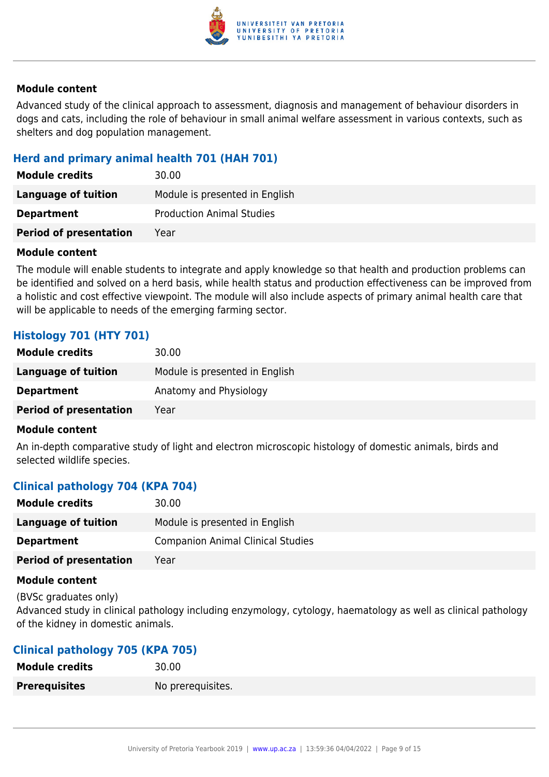

Advanced study of the clinical approach to assessment, diagnosis and management of behaviour disorders in dogs and cats, including the role of behaviour in small animal welfare assessment in various contexts, such as shelters and dog population management.

## **Herd and primary animal health 701 (HAH 701)**

| <b>Module credits</b>         | 30.00                            |
|-------------------------------|----------------------------------|
| Language of tuition           | Module is presented in English   |
| <b>Department</b>             | <b>Production Animal Studies</b> |
| <b>Period of presentation</b> | Year                             |

#### **Module content**

The module will enable students to integrate and apply knowledge so that health and production problems can be identified and solved on a herd basis, while health status and production effectiveness can be improved from a holistic and cost effective viewpoint. The module will also include aspects of primary animal health care that will be applicable to needs of the emerging farming sector.

## **Histology 701 (HTY 701)**

| <b>Module credits</b>         | 30.00                          |
|-------------------------------|--------------------------------|
| Language of tuition           | Module is presented in English |
| <b>Department</b>             | Anatomy and Physiology         |
| <b>Period of presentation</b> | Year                           |

#### **Module content**

An in-depth comparative study of light and electron microscopic histology of domestic animals, birds and selected wildlife species.

## **Clinical pathology 704 (KPA 704)**

| <b>Module credits</b>         | 30.00                                    |
|-------------------------------|------------------------------------------|
| Language of tuition           | Module is presented in English           |
| <b>Department</b>             | <b>Companion Animal Clinical Studies</b> |
| <b>Period of presentation</b> | Yearl                                    |

#### **Module content**

(BVSc graduates only)

Advanced study in clinical pathology including enzymology, cytology, haematology as well as clinical pathology of the kidney in domestic animals.

## **Clinical pathology 705 (KPA 705)**

| <b>Module credits</b> | 30.00             |
|-----------------------|-------------------|
| <b>Prerequisites</b>  | No prerequisites. |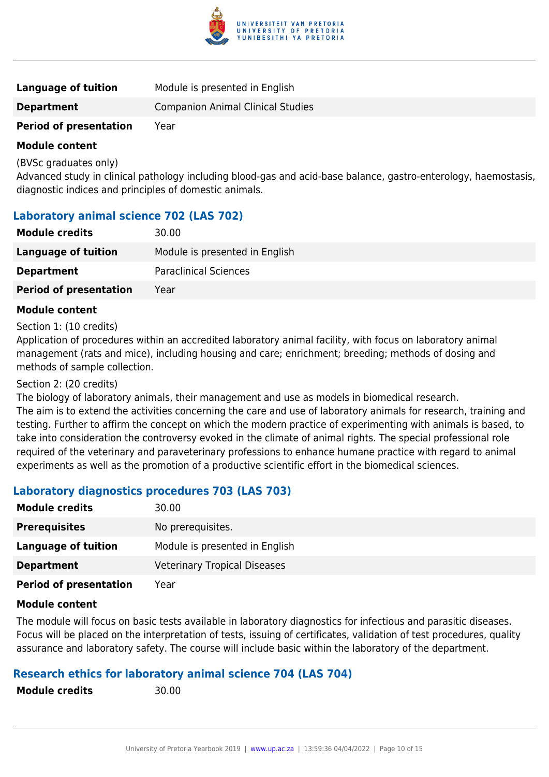

| <b>Language of tuition</b>    | Module is presented in English           |
|-------------------------------|------------------------------------------|
| <b>Department</b>             | <b>Companion Animal Clinical Studies</b> |
| <b>Period of presentation</b> | Year                                     |

(BVSc graduates only)

Advanced study in clinical pathology including blood-gas and acid-base balance, gastro-enterology, haemostasis, diagnostic indices and principles of domestic animals.

## **Laboratory animal science 702 (LAS 702)**

| <b>Module credits</b>         | 30.00                          |
|-------------------------------|--------------------------------|
| Language of tuition           | Module is presented in English |
| <b>Department</b>             | <b>Paraclinical Sciences</b>   |
| <b>Period of presentation</b> | Year                           |

#### **Module content**

#### Section 1: (10 credits)

Application of procedures within an accredited laboratory animal facility, with focus on laboratory animal management (rats and mice), including housing and care; enrichment; breeding; methods of dosing and methods of sample collection.

#### Section 2: (20 credits)

The biology of laboratory animals, their management and use as models in biomedical research.

The aim is to extend the activities concerning the care and use of laboratory animals for research, training and testing. Further to affirm the concept on which the modern practice of experimenting with animals is based, to take into consideration the controversy evoked in the climate of animal rights. The special professional role required of the veterinary and paraveterinary professions to enhance humane practice with regard to animal experiments as well as the promotion of a productive scientific effort in the biomedical sciences.

## **Laboratory diagnostics procedures 703 (LAS 703)**

| <b>Module credits</b>         | 30.00                               |
|-------------------------------|-------------------------------------|
| <b>Prerequisites</b>          | No prerequisites.                   |
| Language of tuition           | Module is presented in English      |
| <b>Department</b>             | <b>Veterinary Tropical Diseases</b> |
| <b>Period of presentation</b> | Year                                |

#### **Module content**

The module will focus on basic tests available in laboratory diagnostics for infectious and parasitic diseases. Focus will be placed on the interpretation of tests, issuing of certificates, validation of test procedures, quality assurance and laboratory safety. The course will include basic within the laboratory of the department.

## **Research ethics for laboratory animal science 704 (LAS 704)**

**Module credits** 30.00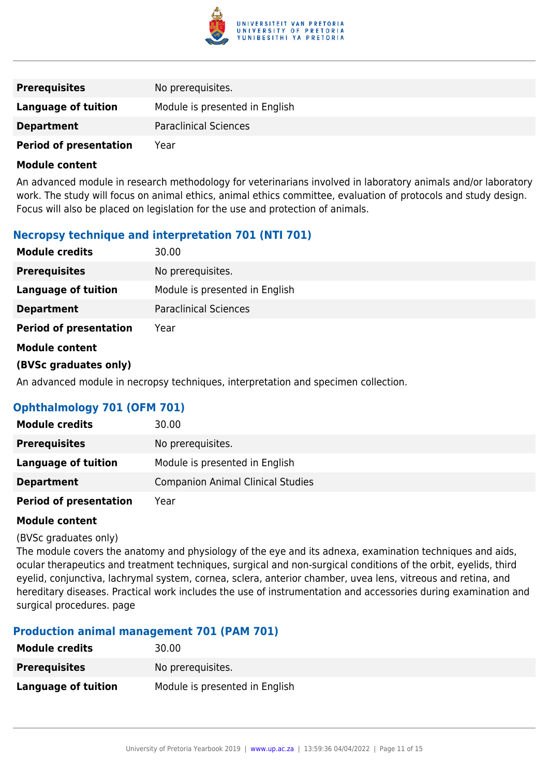

| <b>Prerequisites</b>          | No prerequisites.              |
|-------------------------------|--------------------------------|
| Language of tuition           | Module is presented in English |
| <b>Department</b>             | <b>Paraclinical Sciences</b>   |
| <b>Period of presentation</b> | Year                           |

An advanced module in research methodology for veterinarians involved in laboratory animals and/or laboratory work. The study will focus on animal ethics, animal ethics committee, evaluation of protocols and study design. Focus will also be placed on legislation for the use and protection of animals.

## **Necropsy technique and interpretation 701 (NTI 701)**

| <b>Module credits</b>         | 30.00                          |
|-------------------------------|--------------------------------|
| <b>Prerequisites</b>          | No prerequisites.              |
| <b>Language of tuition</b>    | Module is presented in English |
| <b>Department</b>             | <b>Paraclinical Sciences</b>   |
| <b>Period of presentation</b> | Year                           |
| <b>Module content</b>         |                                |
| (BVSc graduates only)         |                                |
|                               |                                |

An advanced module in necropsy techniques, interpretation and specimen collection.

## **Ophthalmology 701 (OFM 701)**

| <b>Module credits</b>         | 30.00                                    |
|-------------------------------|------------------------------------------|
| <b>Prerequisites</b>          | No prerequisites.                        |
| Language of tuition           | Module is presented in English           |
| <b>Department</b>             | <b>Companion Animal Clinical Studies</b> |
| <b>Period of presentation</b> | Year                                     |

#### **Module content**

#### (BVSc graduates only)

The module covers the anatomy and physiology of the eye and its adnexa, examination techniques and aids, ocular therapeutics and treatment techniques, surgical and non-surgical conditions of the orbit, eyelids, third eyelid, conjunctiva, lachrymal system, cornea, sclera, anterior chamber, uvea lens, vitreous and retina, and hereditary diseases. Practical work includes the use of instrumentation and accessories during examination and surgical procedures. page

## **Production animal management 701 (PAM 701)**

| <b>Module credits</b> | 30.00                          |
|-----------------------|--------------------------------|
| <b>Prerequisites</b>  | No prerequisites.              |
| Language of tuition   | Module is presented in English |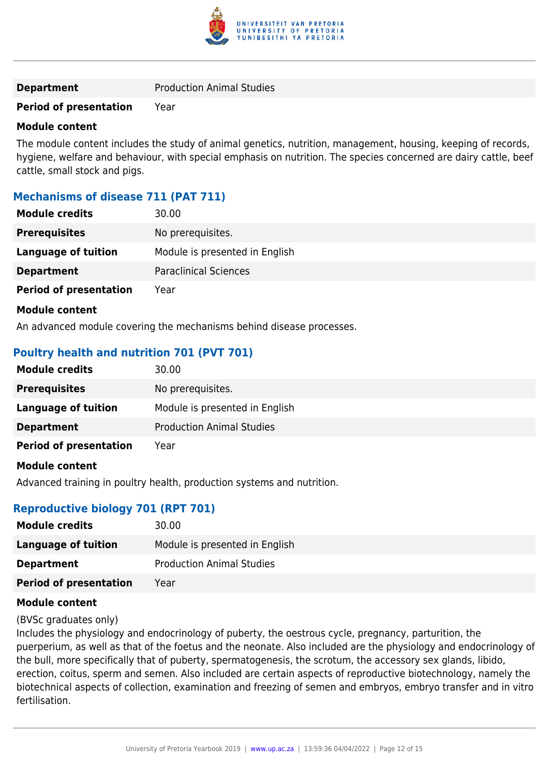

## **Period of presentation** Year

#### **Module content**

The module content includes the study of animal genetics, nutrition, management, housing, keeping of records, hygiene, welfare and behaviour, with special emphasis on nutrition. The species concerned are dairy cattle, beef cattle, small stock and pigs.

## **Mechanisms of disease 711 (PAT 711)**

| <b>Module credits</b>         | 30.00                          |
|-------------------------------|--------------------------------|
| <b>Prerequisites</b>          | No prerequisites.              |
| Language of tuition           | Module is presented in English |
| <b>Department</b>             | <b>Paraclinical Sciences</b>   |
| <b>Period of presentation</b> | Year                           |

#### **Module content**

An advanced module covering the mechanisms behind disease processes.

## **Poultry health and nutrition 701 (PVT 701)**

| <b>Module credits</b>         | 30.00                            |
|-------------------------------|----------------------------------|
| <b>Prerequisites</b>          | No prerequisites.                |
| <b>Language of tuition</b>    | Module is presented in English   |
| <b>Department</b>             | <b>Production Animal Studies</b> |
| <b>Period of presentation</b> | Year                             |
| <b>Module content</b>         |                                  |

Advanced training in poultry health, production systems and nutrition.

## **Reproductive biology 701 (RPT 701)**

| <b>Module credits</b>         | 30.00                            |
|-------------------------------|----------------------------------|
| Language of tuition           | Module is presented in English   |
| <b>Department</b>             | <b>Production Animal Studies</b> |
| <b>Period of presentation</b> | Year                             |

#### **Module content**

#### (BVSc graduates only)

Includes the physiology and endocrinology of puberty, the oestrous cycle, pregnancy, parturition, the puerperium, as well as that of the foetus and the neonate. Also included are the physiology and endocrinology of the bull, more specifically that of puberty, spermatogenesis, the scrotum, the accessory sex glands, libido, erection, coitus, sperm and semen. Also included are certain aspects of reproductive biotechnology, namely the biotechnical aspects of collection, examination and freezing of semen and embryos, embryo transfer and in vitro fertilisation.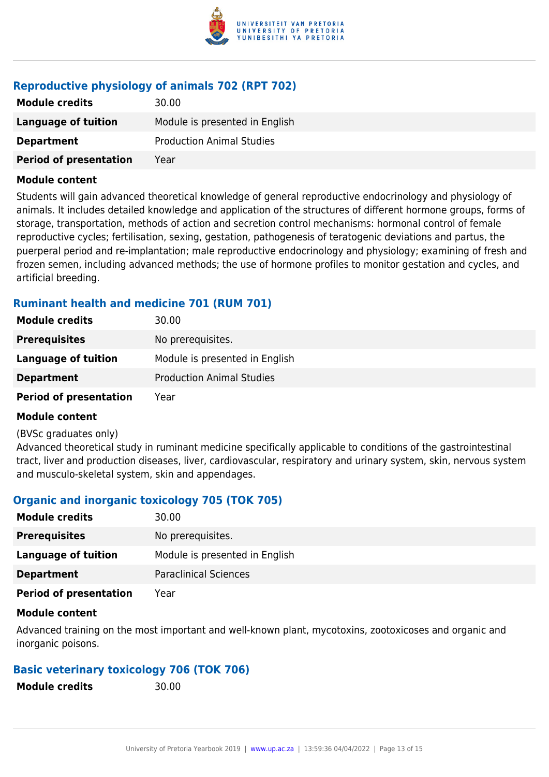

## **Reproductive physiology of animals 702 (RPT 702)**

| <b>Module credits</b>         | 30.00                            |
|-------------------------------|----------------------------------|
| Language of tuition           | Module is presented in English   |
| <b>Department</b>             | <b>Production Animal Studies</b> |
| <b>Period of presentation</b> | Year                             |

#### **Module content**

Students will gain advanced theoretical knowledge of general reproductive endocrinology and physiology of animals. It includes detailed knowledge and application of the structures of different hormone groups, forms of storage, transportation, methods of action and secretion control mechanisms: hormonal control of female reproductive cycles; fertilisation, sexing, gestation, pathogenesis of teratogenic deviations and partus, the puerperal period and re-implantation; male reproductive endocrinology and physiology; examining of fresh and frozen semen, including advanced methods; the use of hormone profiles to monitor gestation and cycles, and artificial breeding.

## **Ruminant health and medicine 701 (RUM 701)**

| <b>Module credits</b>         | 30.00                            |
|-------------------------------|----------------------------------|
| <b>Prerequisites</b>          | No prerequisites.                |
| Language of tuition           | Module is presented in English   |
| <b>Department</b>             | <b>Production Animal Studies</b> |
| <b>Period of presentation</b> | Year                             |

## **Module content**

#### (BVSc graduates only)

Advanced theoretical study in ruminant medicine specifically applicable to conditions of the gastrointestinal tract, liver and production diseases, liver, cardiovascular, respiratory and urinary system, skin, nervous system and musculo-skeletal system, skin and appendages.

## **Organic and inorganic toxicology 705 (TOK 705)**

| <b>Module credits</b>         | 30.00                          |
|-------------------------------|--------------------------------|
| <b>Prerequisites</b>          | No prerequisites.              |
| Language of tuition           | Module is presented in English |
| <b>Department</b>             | <b>Paraclinical Sciences</b>   |
| <b>Period of presentation</b> | Year                           |

## **Module content**

Advanced training on the most important and well-known plant, mycotoxins, zootoxicoses and organic and inorganic poisons.

## **Basic veterinary toxicology 706 (TOK 706)**

**Module credits** 30.00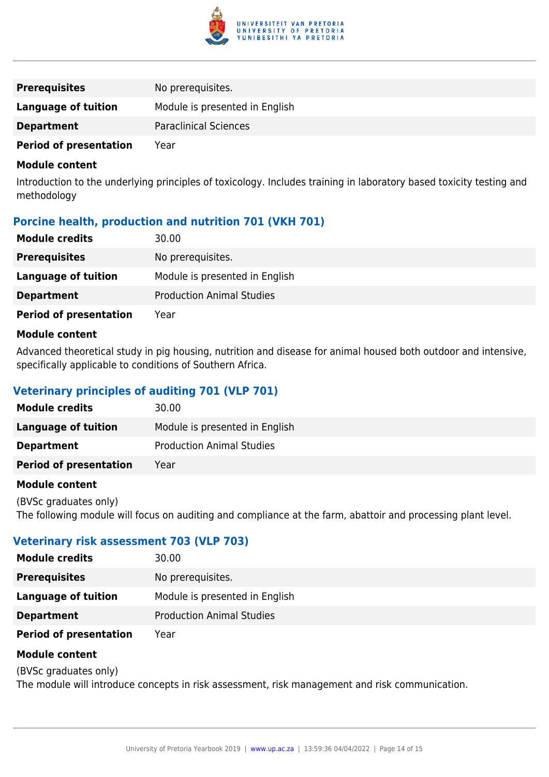

| <b>Prerequisites</b>          | No prerequisites.              |
|-------------------------------|--------------------------------|
| Language of tuition           | Module is presented in English |
| <b>Department</b>             | <b>Paraclinical Sciences</b>   |
| <b>Period of presentation</b> | Year                           |

Introduction to the underlying principles of toxicology. Includes training in laboratory based toxicity testing and methodology

## **Porcine health, production and nutrition 701 (VKH 701)**

| <b>Module credits</b>         | 30.00                            |
|-------------------------------|----------------------------------|
| <b>Prerequisites</b>          | No prerequisites.                |
| Language of tuition           | Module is presented in English   |
| <b>Department</b>             | <b>Production Animal Studies</b> |
| <b>Period of presentation</b> | Year                             |

#### **Module content**

Advanced theoretical study in pig housing, nutrition and disease for animal housed both outdoor and intensive, specifically applicable to conditions of Southern Africa.

## **Veterinary principles of auditing 701 (VLP 701)**

| <b>Module credits</b>         | 30.00                            |
|-------------------------------|----------------------------------|
| Language of tuition           | Module is presented in English   |
| <b>Department</b>             | <b>Production Animal Studies</b> |
| <b>Period of presentation</b> | Year                             |

#### **Module content**

(BVSc graduates only) The following module will focus on auditing and compliance at the farm, abattoir and processing plant level.

## **Veterinary risk assessment 703 (VLP 703)**

| <b>Module credits</b>         | 30.00                            |
|-------------------------------|----------------------------------|
| <b>Prerequisites</b>          | No prerequisites.                |
| Language of tuition           | Module is presented in English   |
| <b>Department</b>             | <b>Production Animal Studies</b> |
| <b>Period of presentation</b> | Year                             |

#### **Module content**

(BVSc graduates only)

The module will introduce concepts in risk assessment, risk management and risk communication.